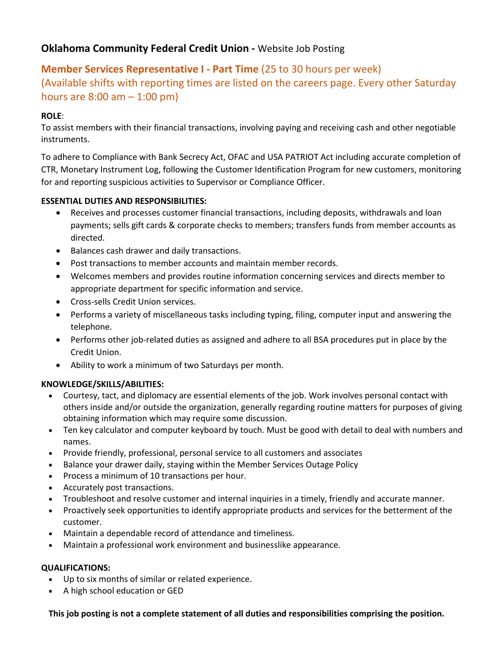# **Oklahoma Community Federal Credit Union -** Website Job Posting

# **Member Services Representative I - Part Time** (25 to 30 hours per week)

(Available shifts with reporting times are listed on the careers page. Every other Saturday hours are  $8:00$  am  $-1:00$  pm)

### **ROLE**:

To assist members with their financial transactions, involving paying and receiving cash and other negotiable instruments.

To adhere to Compliance with Bank Secrecy Act, OFAC and USA PATRIOT Act including accurate completion of CTR, Monetary Instrument Log, following the Customer Identification Program for new customers, monitoring for and reporting suspicious activities to Supervisor or Compliance Officer.

### **ESSENTIAL DUTIES AND RESPONSIBILITIES:**

- Receives and processes customer financial transactions, including deposits, withdrawals and loan payments; sells gift cards & corporate checks to members; transfers funds from member accounts as directed.
- Balances cash drawer and daily transactions.
- Post transactions to member accounts and maintain member records.
- Welcomes members and provides routine information concerning services and directs member to appropriate department for specific information and service.
- Cross-sells Credit Union services.
- Performs a variety of miscellaneous tasks including typing, filing, computer input and answering the telephone.
- Performs other job-related duties as assigned and adhere to all BSA procedures put in place by the Credit Union.
- Ability to work a minimum of two Saturdays per month.

### **KNOWLEDGE/SKILLS/ABILITIES:**

- Courtesy, tact, and diplomacy are essential elements of the job. Work involves personal contact with others inside and/or outside the organization, generally regarding routine matters for purposes of giving obtaining information which may require some discussion.
- Ten key calculator and computer keyboard by touch. Must be good with detail to deal with numbers and names.
- Provide friendly, professional, personal service to all customers and associates
- Balance your drawer daily, staying within the Member Services Outage Policy
- Process a minimum of 10 transactions per hour.
- Accurately post transactions.
- Troubleshoot and resolve customer and internal inquiries in a timely, friendly and accurate manner.
- Proactively seek opportunities to identify appropriate products and services for the betterment of the customer.
- Maintain a dependable record of attendance and timeliness.
- Maintain a professional work environment and businesslike appearance.

### **QUALIFICATIONS:**

- Up to six months of similar or related experience.
- A high school education or GED

**This job posting is not a complete statement of all duties and responsibilities comprising the position.**